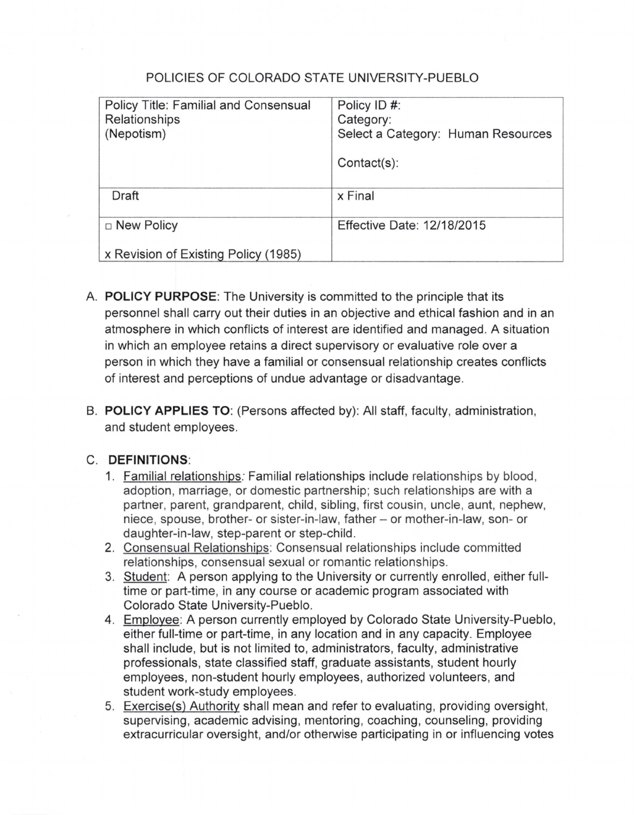### POLICIES OF COLORADO STATE UNIVERSITY-PUEBLO

| Policy Title: Familial and Consensual<br>Relationships<br>(Nepotism) | Policy ID #:<br>Category:<br>Select a Category: Human Resources<br>$Context(s)$ : |
|----------------------------------------------------------------------|-----------------------------------------------------------------------------------|
| Draft                                                                | x Final                                                                           |
| $\Box$ New Policy                                                    | Effective Date: 12/18/2015                                                        |
| x Revision of Existing Policy (1985)                                 |                                                                                   |

- A. **POLICY PURPOSE:** The University is committed to the principle that its personnel shall carry out their duties in an objective and ethical fashion and in an atmosphere in which conflicts of interest are identified and managed. A situation in which an employee retains a direct supervisory or evaluative role over a person in which they have a familial or consensual relationship creates conflicts of interest and perceptions of undue advantage or disadvantage.
- B. **POLICY APPLIES TO:** (Persons affected by): All staff, faculty, administration, and student employees.

#### C. **DEFINITIONS:**

- 1. Familial relationships: Familial relationships include relationships by blood , adoption, marriage, or domestic partnership; such relationships are with a partner, parent, grandparent, child, sibling, first cousin, uncle, aunt, nephew, niece, spouse, brother- or sister-in-law, father- or mother-in-law, son- or daughter-in-law, step-parent or step-child.
- 2. Consensual Relationships: Consensual relationships include committed relationships, consensual sexual or romantic relationships.
- 3. Student: A person applying to the University or currently enrolled, either fulltime or part-time, in any course or academic program associated with Colorado State University-Pueblo.
- 4. Employee: A person currently employed by Colorado State University-Pueblo, either full-time or part-time, in any location and in any capacity. Employee shall include, but is not limited to, administrators, faculty, administrative professionals, state classified staff, graduate assistants, student hourly employees, non-student hourly employees, authorized volunteers, and student work-study employees.
- 5. Exercise(s) Authority shall mean and refer to evaluating, providing oversight, supervising, academic advising, mentoring, coaching, counseling, providing extracurricular oversight, and/or otherwise participating in or influencing votes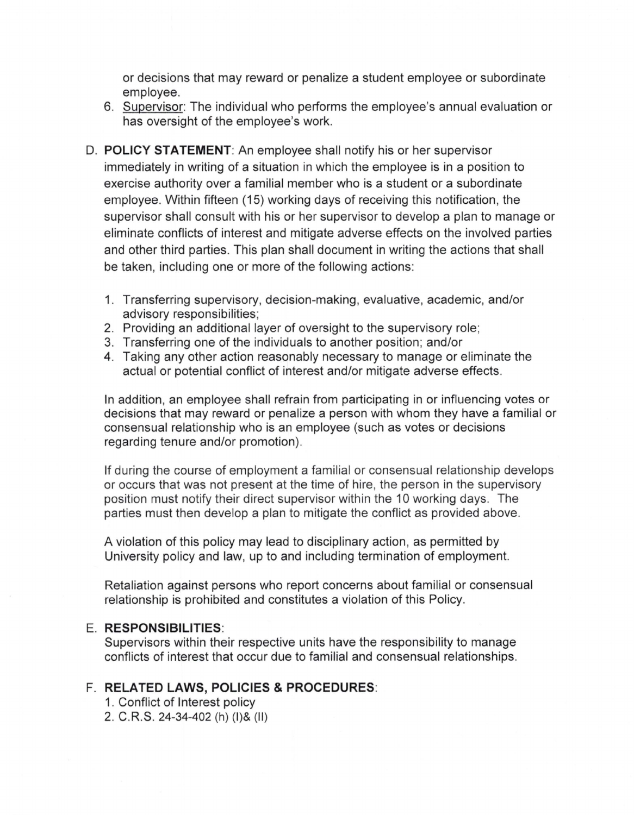or decisions that may reward or penalize a student employee or subordinate employee.

- 6. Supervisor: The individual who performs the employee's annual evaluation or has oversight of the employee's work.
- D. **POLICY STATEMENT:** An employee shall notify his or her supervisor immediately in writing of a situation in which the employee is in a position to exercise authority over a familial member who is a student or a subordinate employee. Within fifteen (15) working days of receiving this notification, the supervisor shall consult with his or her supervisor to develop a plan to manage or eliminate conflicts of interest and mitigate adverse effects on the involved parties and other third parties. This plan shall document in writing the actions that shall be taken, including one or more of the following actions:
	- 1. Transferring supervisory, decision-making, evaluative, academic, and/or advisory responsibilities;
	- 2. Providing an additional layer of oversight to the supervisory role;
	- 3. Transferring one of the individuals to another position; and/or
	- 4. Taking any other action reasonably necessary to manage or eliminate the actual or potential conflict of interest and/or mitigate adverse effects.

In addition, an employee shall refrain from participating in or influencing votes or decisions that may reward or penalize a person with whom they have a familial or consensual relationship who is an employee (such as votes or decisions regarding tenure and/or promotion).

If during the course of employment a familial or consensual relationship develops or occurs that was not present at the time of hire, the person in the supervisory position must notify their direct supervisor within the 10 working days. The parties must then develop a plan to mitigate the conflict as provided above.

A violation of this policy may lead to disciplinary action, as permitted by University policy and law, up to and including termination of employment.

Retaliation against persons who report concerns about familial or consensual relationship is prohibited and constitutes a violation of this Policy.

#### E. **RESPONSIBILITIES:**

Supervisors within their respective units have the responsibility to manage conflicts of interest that occur due to familial and consensual relationships.

#### F. **RELATED LAWS, POLICIES & PROCEDURES:**

- 1. Conflict of Interest policy
- 2. C.R.S. 24-34-402 (h) (I)& (II)